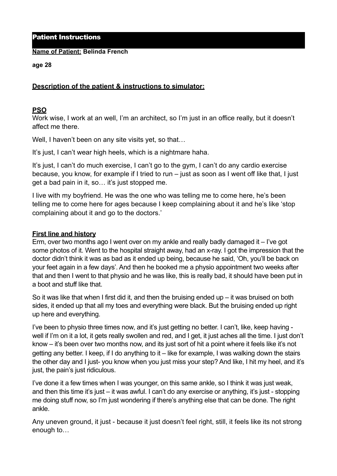Patient Instructions

**Name of Patient: Belinda French**

**age 28** 

## **Description of the patient & instructions to simulator:**

### **PSO**

Work wise, I work at an well, I'm an architect, so I'm just in an office really, but it doesn't affect me there.

Well, I haven't been on any site visits yet, so that...

It's just. I can't wear high heels, which is a nightmare haha.

It's just, I can't do much exercise, I can't go to the gym, I can't do any cardio exercise because, you know, for example if I tried to run – just as soon as I went off like that, I just get a bad pain in it, so… it's just stopped me.

I live with my boyfriend. He was the one who was telling me to come here, he's been telling me to come here for ages because I keep complaining about it and he's like 'stop complaining about it and go to the doctors.'

### **First line and history**

Erm, over two months ago I went over on my ankle and really badly damaged it – I've got some photos of it. Went to the hospital straight away, had an x-ray. I got the impression that the doctor didn't think it was as bad as it ended up being, because he said, 'Oh, you'll be back on your feet again in a few days'. And then he booked me a physio appointment two weeks after that and then I went to that physio and he was like, this is really bad, it should have been put in a boot and stuff like that.

So it was like that when I first did it, and then the bruising ended up – it was bruised on both sides, it ended up that all my toes and everything were black. But the bruising ended up right up here and everything.

I've been to physio three times now, and it's just getting no better. I can't, like, keep having well if I'm on it a lot, it gets really swollen and red, and I get, it just aches all the time. I just don't know – it's been over two months now, and its just sort of hit a point where it feels like it's not getting any better. I keep, if I do anything to it – like for example, I was walking down the stairs the other day and I just- you know when you just miss your step? And like, I hit my heel, and it's just, the pain's just ridiculous.

I've done it a few times when I was younger, on this same ankle, so I think it was just weak, and then this time it's just – it was awful. I can't do any exercise or anything, it's just - stopping me doing stuff now, so I'm just wondering if there's anything else that can be done. The right ankle.

Any uneven ground, it just - because it just doesn't feel right, still, it feels like its not strong enough to…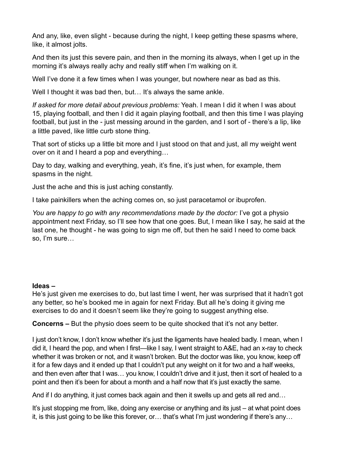And any, like, even slight - because during the night, I keep getting these spasms where, like, it almost jolts.

And then its just this severe pain, and then in the morning its always, when I get up in the morning it's always really achy and really stiff when I'm walking on it.

Well I've done it a few times when I was younger, but nowhere near as bad as this.

Well I thought it was bad then, but... It's always the same ankle.

*If asked for more detail about previous problems:* Yeah. I mean I did it when I was about 15, playing football, and then I did it again playing football, and then this time I was playing football, but just in the - just messing around in the garden, and I sort of - there's a lip, like a little paved, like little curb stone thing.

That sort of sticks up a little bit more and I just stood on that and just, all my weight went over on it and I heard a pop and everything…

Day to day, walking and everything, yeah, it's fine, it's just when, for example, them spasms in the night.

Just the ache and this is just aching constantly.

I take painkillers when the aching comes on, so just paracetamol or ibuprofen.

*You are happy to go with any recommendations made by the doctor:* I've got a physio appointment next Friday, so I'll see how that one goes. But, I mean like I say, he said at the last one, he thought - he was going to sign me off, but then he said I need to come back so, I'm sure…

### **Ideas –**

He's just given me exercises to do, but last time I went, her was surprised that it hadn't got any better, so he's booked me in again for next Friday. But all he's doing it giving me exercises to do and it doesn't seem like they're going to suggest anything else.

**Concerns –** But the physio does seem to be quite shocked that it's not any better.

I just don't know, I don't know whether it's just the ligaments have healed badly. I mean, when I did it, I heard the pop, and when I first—like I say, I went straight to A&E, had an x-ray to check whether it was broken or not, and it wasn't broken. But the doctor was like, you know, keep off it for a few days and it ended up that I couldn't put any weight on it for two and a half weeks, and then even after that I was… you know, I couldn't drive and it just, then it sort of healed to a point and then it's been for about a month and a half now that it's just exactly the same.

And if I do anything, it just comes back again and then it swells up and gets all red and…

It's just stopping me from, like, doing any exercise or anything and its just – at what point does it, is this just going to be like this forever, or… that's what I'm just wondering if there's any…